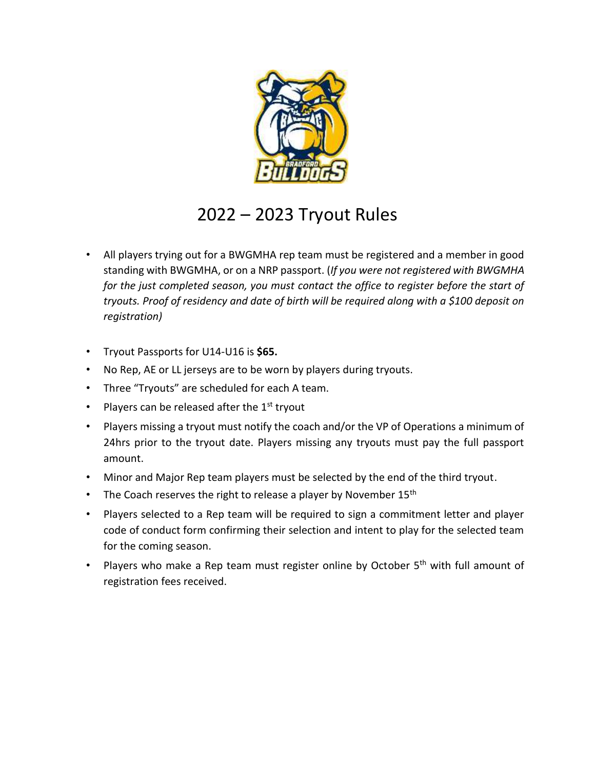

# 2022 – 2023 Tryout Rules

- All players trying out for a BWGMHA rep team must be registered and a member in good standing with BWGMHA, or on a NRP passport. (*If you were not registered with BWGMHA for the just completed season, you must contact the office to register before the start of tryouts. Proof of residency and date of birth will be required along with a \$100 deposit on registration)*
- Tryout Passports for U14-U16 is **\$65.**
- No Rep, AE or LL jerseys are to be worn by players during tryouts.
- Three "Tryouts" are scheduled for each A team.
- Players can be released after the  $1<sup>st</sup>$  tryout
- Players missing a tryout must notify the coach and/or the VP of Operations a minimum of 24hrs prior to the tryout date. Players missing any tryouts must pay the full passport amount.
- Minor and Major Rep team players must be selected by the end of the third tryout.
- The Coach reserves the right to release a player by November  $15<sup>th</sup>$
- Players selected to a Rep team will be required to sign a commitment letter and player code of conduct form confirming their selection and intent to play for the selected team for the coming season.
- Players who make a Rep team must register online by October 5<sup>th</sup> with full amount of registration fees received.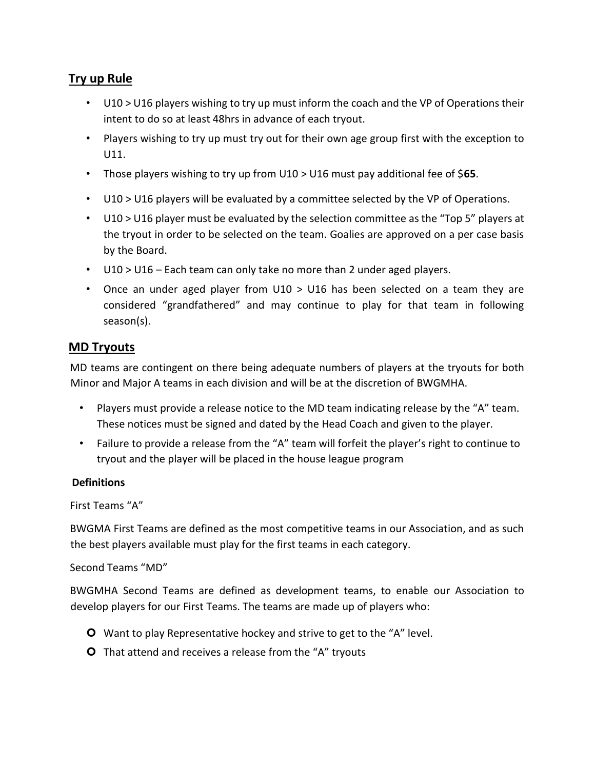## **Try up Rule**

- U10 > U16 players wishing to try up must inform the coach and the VP of Operations their intent to do so at least 48hrs in advance of each tryout.
- Players wishing to try up must try out for their own age group first with the exception to U11.
- Those players wishing to try up from U10 > U16 must pay additional fee of \$**65**.
- U10 > U16 players will be evaluated by a committee selected by the VP of Operations.
- U10 > U16 player must be evaluated by the selection committee as the "Top 5" players at the tryout in order to be selected on the team. Goalies are approved on a per case basis by the Board.
- U10 > U16 Each team can only take no more than 2 under aged players.
- Once an under aged player from U10 > U16 has been selected on a team they are considered "grandfathered" and may continue to play for that team in following season(s).

### **MD Tryouts**

MD teams are contingent on there being adequate numbers of players at the tryouts for both Minor and Major A teams in each division and will be at the discretion of BWGMHA.

- Players must provide a release notice to the MD team indicating release by the "A" team. These notices must be signed and dated by the Head Coach and given to the player.
- Failure to provide a release from the "A" team will forfeit the player's right to continue to tryout and the player will be placed in the house league program

#### **Definitions**

```
First Teams "A"
```
BWGMA First Teams are defined as the most competitive teams in our Association, and as such the best players available must play for the first teams in each category.

Second Teams "MD"

BWGMHA Second Teams are defined as development teams, to enable our Association to develop players for our First Teams. The teams are made up of players who:

- **O** Want to play Representative hockey and strive to get to the "A" level.
- **O** That attend and receives a release from the "A" tryouts